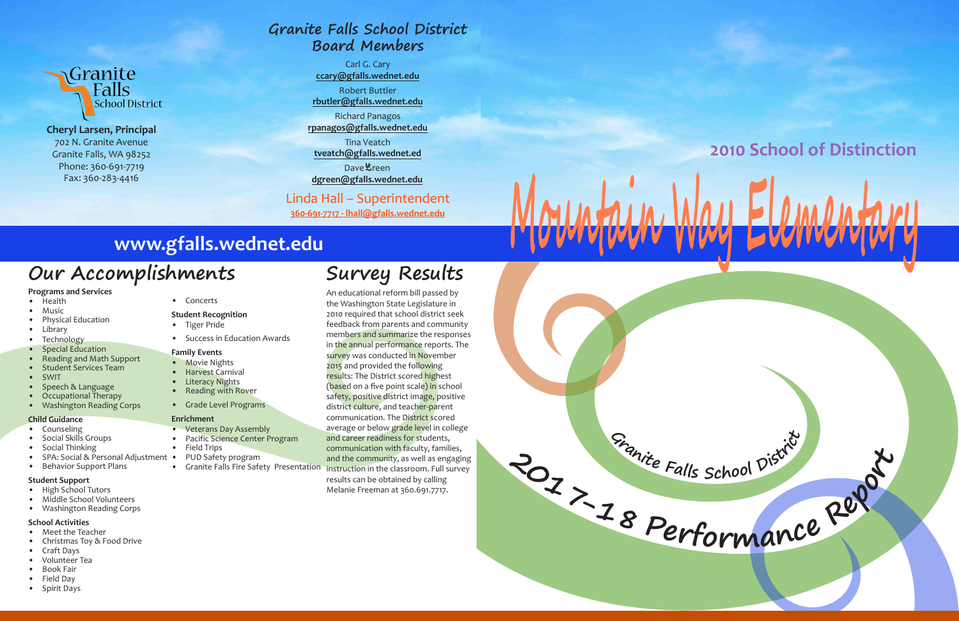

**<sup>G</sup><sup>r</sup>anit<sup>e</sup> <sup>F</sup>all<sup>s</sup> <sup>S</sup>choo<sup>l</sup> <sup>D</sup>istric<sup>t</sup>**



**Cheryl Larsen, Principal** 702 N. Granite Avenue Granite Falls, WA 98252 Phone: 360-691-7719 Fax: 360-283-4416

#### **Programs and Services**

- Health
- Music
- Physical Education
- Library
- Technology
- Special Education
- Reading and Math Support • Student Services Team
- SWIT
- 
- Speech & Language
- Occupational Therapy • Washington Reading Corps
- 
- **Child Guidance Counseling**
- Social Skills Groups
- Social Thinking
- SPA: Social & Personal Adjustment
- Behavior Support Plans

#### **Student Support**

- High School Tutors
- Middle School Volunteers
- Washington Reading Corps

#### **School Activities**

- Meet the Teacher
- Christmas Toy & Food Drive
- Craft Days
- Volunteer Tea
- Book Fair • Field Day
- Spirit Days

• Concerts

#### **Student Recognition**

- Tiger Pride
- Success in Education Awards

#### **Family Events**

- Movie Nights
- Harvest Carnival
- Literacy Nights
- Reading with Rover
- Grade Level Programs

• Granite Falls Fire Safety Presentation instruction in the classroom. Full survey An educational reform bill passed by the Washington State Legislature in 2010 required that school district seek feedback from parents and community members and summarize the responses in the annual performance reports. The survey was conducted in November 2015 and provided the following results: The District scored highest (based on a five point scale) in school safety, positive district image, positive district culture, and teacher-parent communication. The District scored average or below grade level in college and career readiness for students, communication with faculty, families, and the community, as well as engaging results can be obtained by calling Melanie Freeman at 360.691.7717.

#### **Enrichment**

- Veterans Day Assembly
- Pacific Science Center Program
- Field Trips
- PUD Safety program
	-

Dave**也**reen **dgreen@gfalls.wednet.edu**

## **Our Accomplishments**

## **www.gfalls.wednet.edu**

**Survey Results**



## **Granite Falls School District Board Members**

Carl G. Cary **ccary@gfalls.wednet.edu**

Robert Buttler **rbutler@gfalls.wednet.edu**

Richard Panagos **rpanagos@gfalls.wednet.edu**

Tina Veatch **tveatch@gfalls.wednet.ed**

### Linda Hall – Superintendent

**360-691-7717 - lhall@gfalls.wednet.edu**